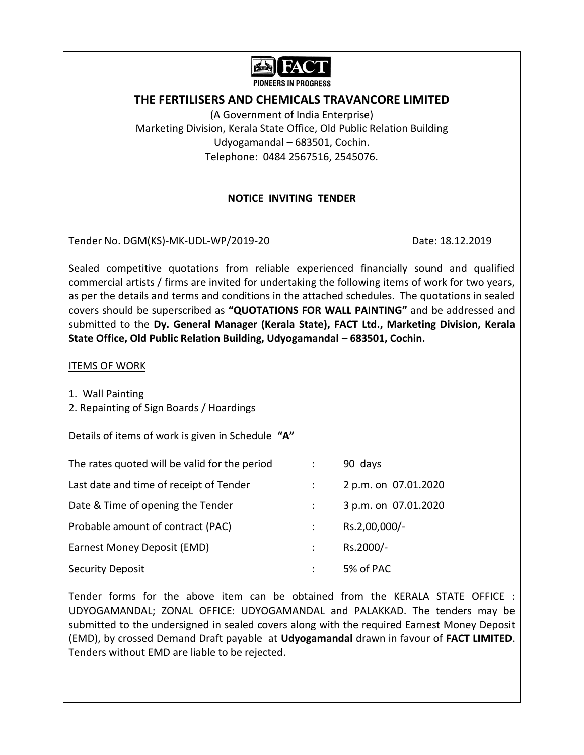

# **THE FERTILISERS AND CHEMICALS TRAVANCORE LIMITED**

(A Government of India Enterprise) Marketing Division, Kerala State Office, Old Public Relation Building Udyogamandal – 683501, Cochin. Telephone: 0484 2567516, 2545076.

## **NOTICE INVITING TENDER**

Tender No. DGM(KS)-MK-UDL-WP/2019-20 Date: 18.12.2019

Sealed competitive quotations from reliable experienced financially sound and qualified commercial artists / firms are invited for undertaking the following items of work for two years, as per the details and terms and conditions in the attached schedules. The quotations in sealed covers should be superscribed as **"QUOTATIONS FOR WALL PAINTING"** and be addressed and submitted to the **Dy. General Manager (Kerala State), FACT Ltd., Marketing Division, Kerala State Office, Old Public Relation Building, Udyogamandal – 683501, Cochin.**

## **ITEMS OF WORK**

- 1. Wall Painting
- 2. Repainting of Sign Boards / Hoardings

Details of items of work is given in Schedule **"A"**

| The rates quoted will be valid for the period | 90 days              |
|-----------------------------------------------|----------------------|
| Last date and time of receipt of Tender       | 2 p.m. on 07.01.2020 |
| Date & Time of opening the Tender             | 3 p.m. on 07.01.2020 |
| Probable amount of contract (PAC)             | Rs.2,00,000/-        |
| Earnest Money Deposit (EMD)                   | Rs.2000/-            |
| <b>Security Deposit</b>                       | 5% of PAC            |

Tender forms for the above item can be obtained from the KERALA STATE OFFICE : UDYOGAMANDAL; ZONAL OFFICE: UDYOGAMANDAL and PALAKKAD. The tenders may be submitted to the undersigned in sealed covers along with the required Earnest Money Deposit (EMD), by crossed Demand Draft payable at **Udyogamandal** drawn in favour of **FACT LIMITED**. Tenders without EMD are liable to be rejected.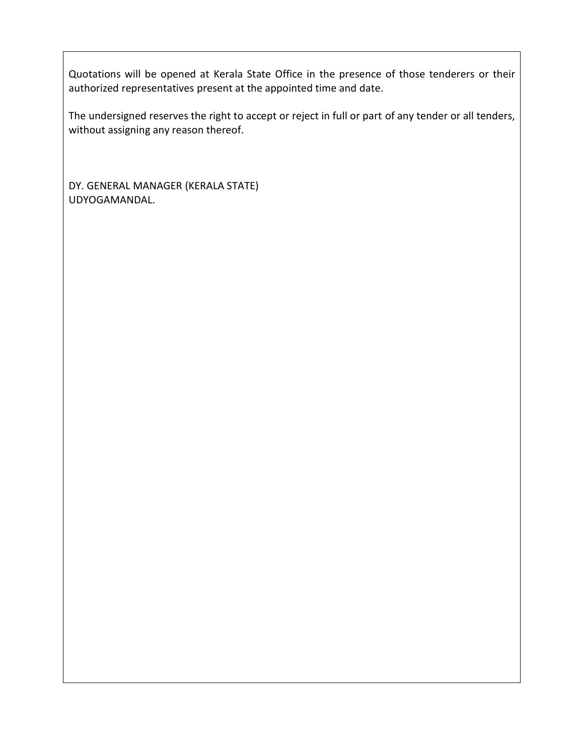Quotations will be opened at Kerala State Office in the presence of those tenderers or their authorized representatives present at the appointed time and date.

The undersigned reserves the right to accept or reject in full or part of any tender or all tenders, without assigning any reason thereof.

DY. GENERAL MANAGER (KERALA STATE) UDYOGAMANDAL.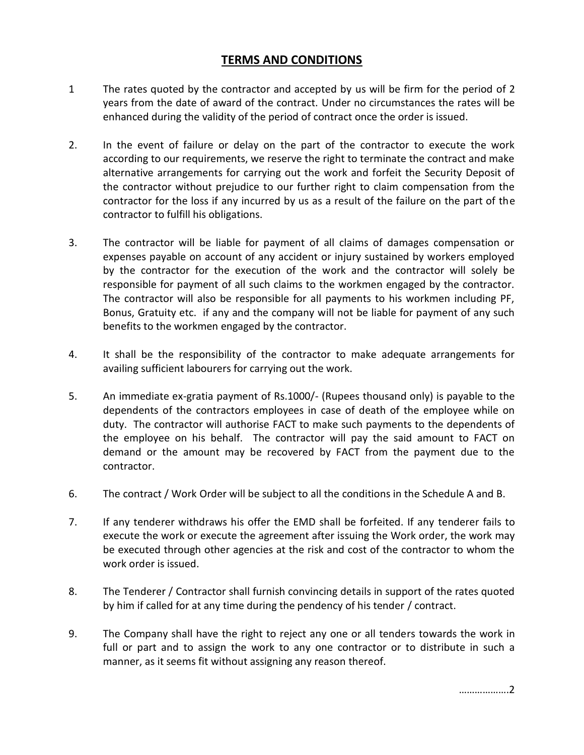## **TERMS AND CONDITIONS**

- 1 The rates quoted by the contractor and accepted by us will be firm for the period of 2 years from the date of award of the contract. Under no circumstances the rates will be enhanced during the validity of the period of contract once the order is issued.
- 2. In the event of failure or delay on the part of the contractor to execute the work according to our requirements, we reserve the right to terminate the contract and make alternative arrangements for carrying out the work and forfeit the Security Deposit of the contractor without prejudice to our further right to claim compensation from the contractor for the loss if any incurred by us as a result of the failure on the part of the contractor to fulfill his obligations.
- 3. The contractor will be liable for payment of all claims of damages compensation or expenses payable on account of any accident or injury sustained by workers employed by the contractor for the execution of the work and the contractor will solely be responsible for payment of all such claims to the workmen engaged by the contractor. The contractor will also be responsible for all payments to his workmen including PF, Bonus, Gratuity etc. if any and the company will not be liable for payment of any such benefits to the workmen engaged by the contractor.
- 4. It shall be the responsibility of the contractor to make adequate arrangements for availing sufficient labourers for carrying out the work.
- 5. An immediate ex-gratia payment of Rs.1000/- (Rupees thousand only) is payable to the dependents of the contractors employees in case of death of the employee while on duty. The contractor will authorise FACT to make such payments to the dependents of the employee on his behalf. The contractor will pay the said amount to FACT on demand or the amount may be recovered by FACT from the payment due to the contractor.
- 6. The contract / Work Order will be subject to all the conditions in the Schedule A and B.
- 7. If any tenderer withdraws his offer the EMD shall be forfeited. If any tenderer fails to execute the work or execute the agreement after issuing the Work order, the work may be executed through other agencies at the risk and cost of the contractor to whom the work order is issued.
- 8. The Tenderer / Contractor shall furnish convincing details in support of the rates quoted by him if called for at any time during the pendency of his tender / contract.
- 9. The Company shall have the right to reject any one or all tenders towards the work in full or part and to assign the work to any one contractor or to distribute in such a manner, as it seems fit without assigning any reason thereof.

……………….2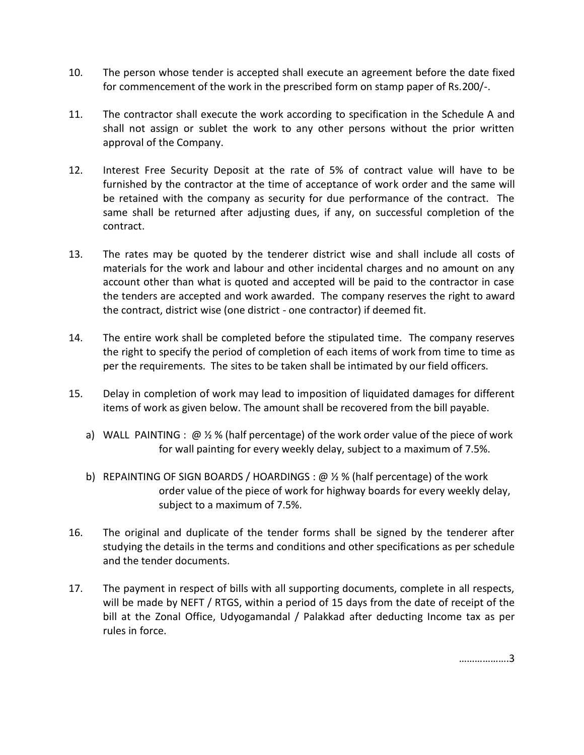- 10. The person whose tender is accepted shall execute an agreement before the date fixed for commencement of the work in the prescribed form on stamp paper of Rs.200/-.
- 11. The contractor shall execute the work according to specification in the Schedule A and shall not assign or sublet the work to any other persons without the prior written approval of the Company.
- 12. Interest Free Security Deposit at the rate of 5% of contract value will have to be furnished by the contractor at the time of acceptance of work order and the same will be retained with the company as security for due performance of the contract. The same shall be returned after adjusting dues, if any, on successful completion of the contract.
- 13. The rates may be quoted by the tenderer district wise and shall include all costs of materials for the work and labour and other incidental charges and no amount on any account other than what is quoted and accepted will be paid to the contractor in case the tenders are accepted and work awarded. The company reserves the right to award the contract, district wise (one district - one contractor) if deemed fit.
- 14. The entire work shall be completed before the stipulated time. The company reserves the right to specify the period of completion of each items of work from time to time as per the requirements. The sites to be taken shall be intimated by our field officers.
- 15. Delay in completion of work may lead to imposition of liquidated damages for different items of work as given below. The amount shall be recovered from the bill payable.
	- a) WALL PAINTING :  $\omega$  % % (half percentage) of the work order value of the piece of work for wall painting for every weekly delay, subject to a maximum of 7.5%.
	- b) REPAINTING OF SIGN BOARDS / HOARDINGS :  $\omega$  % % (half percentage) of the work order value of the piece of work for highway boards for every weekly delay, subject to a maximum of 7.5%.
- 16. The original and duplicate of the tender forms shall be signed by the tenderer after studying the details in the terms and conditions and other specifications as per schedule and the tender documents.
- 17. The payment in respect of bills with all supporting documents, complete in all respects, will be made by NEFT / RTGS, within a period of 15 days from the date of receipt of the bill at the Zonal Office, Udyogamandal / Palakkad after deducting Income tax as per rules in force.

……………….3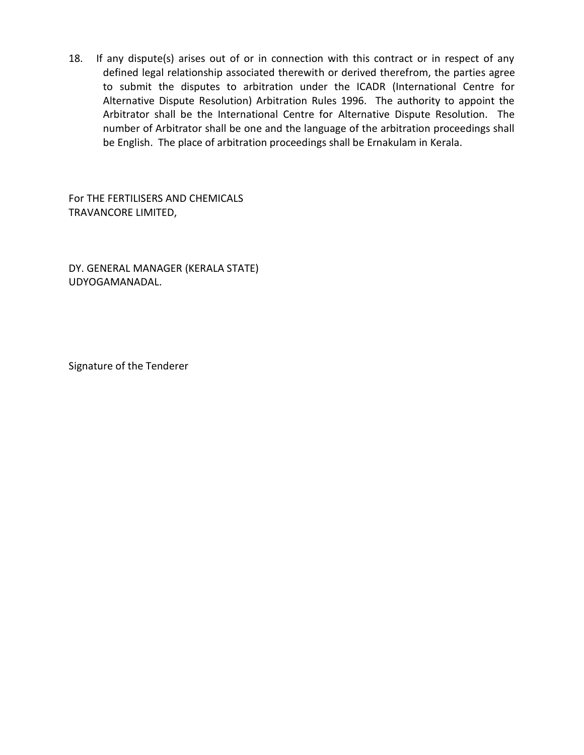18. If any dispute(s) arises out of or in connection with this contract or in respect of any defined legal relationship associated therewith or derived therefrom, the parties agree to submit the disputes to arbitration under the ICADR (International Centre for Alternative Dispute Resolution) Arbitration Rules 1996. The authority to appoint the Arbitrator shall be the International Centre for Alternative Dispute Resolution. The number of Arbitrator shall be one and the language of the arbitration proceedings shall be English. The place of arbitration proceedings shall be Ernakulam in Kerala.

For THE FERTILISERS AND CHEMICALS TRAVANCORE LIMITED,

DY. GENERAL MANAGER (KERALA STATE) UDYOGAMANADAL.

Signature of the Tenderer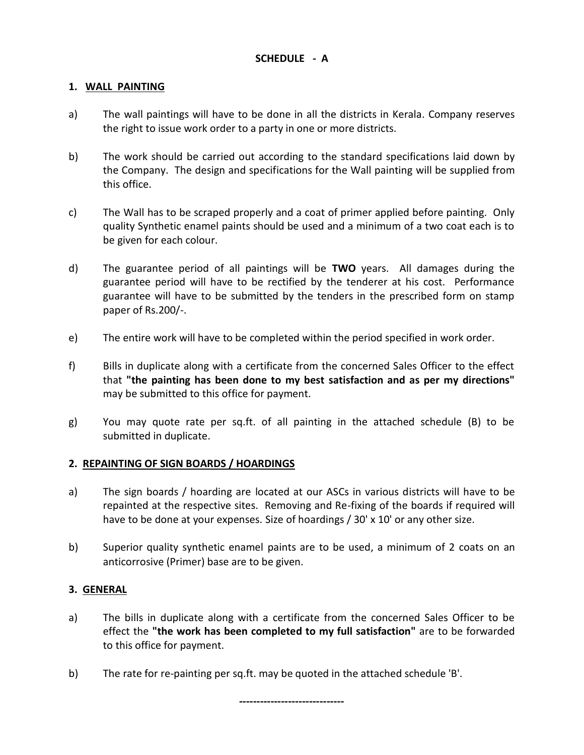## **SCHEDULE - A**

## **1. WALL PAINTING**

- a) The wall paintings will have to be done in all the districts in Kerala. Company reserves the right to issue work order to a party in one or more districts.
- b) The work should be carried out according to the standard specifications laid down by the Company. The design and specifications for the Wall painting will be supplied from this office.
- c) The Wall has to be scraped properly and a coat of primer applied before painting. Only quality Synthetic enamel paints should be used and a minimum of a two coat each is to be given for each colour.
- d) The guarantee period of all paintings will be **TWO** years. All damages during the guarantee period will have to be rectified by the tenderer at his cost. Performance guarantee will have to be submitted by the tenders in the prescribed form on stamp paper of Rs.200/-.
- e) The entire work will have to be completed within the period specified in work order.
- f) Bills in duplicate along with a certificate from the concerned Sales Officer to the effect that **"the painting has been done to my best satisfaction and as per my directions"** may be submitted to this office for payment.
- g) You may quote rate per sq.ft. of all painting in the attached schedule (B) to be submitted in duplicate.

## **2. REPAINTING OF SIGN BOARDS / HOARDINGS**

- a) The sign boards / hoarding are located at our ASCs in various districts will have to be repainted at the respective sites. Removing and Re-fixing of the boards if required will have to be done at your expenses. Size of hoardings / 30' x 10' or any other size.
- b) Superior quality synthetic enamel paints are to be used, a minimum of 2 coats on an anticorrosive (Primer) base are to be given.

## **3. GENERAL**

a) The bills in duplicate along with a certificate from the concerned Sales Officer to be effect the **"the work has been completed to my full satisfaction"** are to be forwarded to this office for payment.

**------------------------------**

b) The rate for re-painting per sq.ft. may be quoted in the attached schedule 'B'.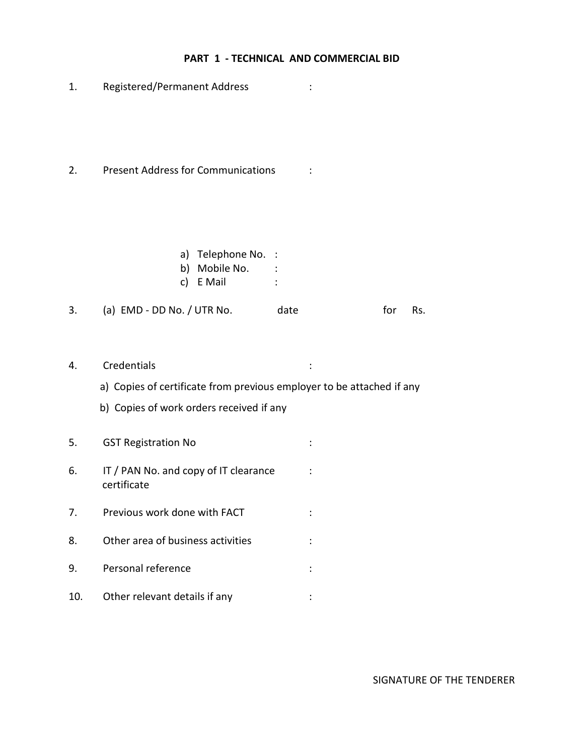#### **PART 1 - TECHNICAL AND COMMERCIAL BID**

- 1. Registered/Permanent Address :
- 2. Present Address for Communications :
	- a) Telephone No. : b) Mobile No. : c) E Mail :

3. (a) EMD - DD No. / UTR No. date for Rs.

- 4. Credentials :
	- a) Copies of certificate from previous employer to be attached if any
	- b) Copies of work orders received if any
- 5. GST Registration No :
- 6. IT / PAN No. and copy of IT clearance : certificate
- 7. Previous work done with FACT :
- 8. Other area of business activities is
- 10. Other relevant details if any interest of the control of the control of the control of the control of the control of the control of the control of the control of the control of the control of the control of the control

9. Personal reference in the set of the set of the set of the set of the set of the set of the set of the set of the set of the set of the set of the set of the set of the set of the set of the set of the set of the set of

SIGNATURE OF THE TENDERER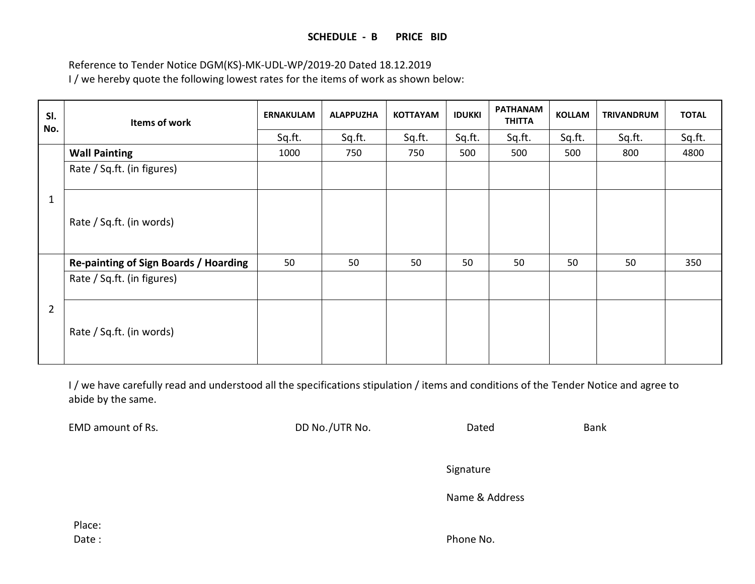Reference to Tender Notice DGM(KS)-MK-UDL-WP/2019-20 Dated 18.12.2019 I / we hereby quote the following lowest rates for the items of work as shown below:

| SI.<br>No.     | Items of work                                | <b>ERNAKULAM</b> | <b>ALAPPUZHA</b> | <b>KOTTAYAM</b> | <b>IDUKKI</b> | <b>PATHANAM</b><br><b>THITTA</b> | <b>KOLLAM</b> | <b>TRIVANDRUM</b> | <b>TOTAL</b> |
|----------------|----------------------------------------------|------------------|------------------|-----------------|---------------|----------------------------------|---------------|-------------------|--------------|
|                |                                              | Sq.ft.           | Sq.ft.           | Sq.ft.          | Sq.ft.        | Sq.ft.                           | Sq.ft.        | Sq.ft.            | Sq.ft.       |
| 1              | <b>Wall Painting</b>                         | 1000             | 750              | 750             | 500           | 500                              | 500           | 800               | 4800         |
|                | Rate / Sq.ft. (in figures)                   |                  |                  |                 |               |                                  |               |                   |              |
|                | Rate / Sq.ft. (in words)                     |                  |                  |                 |               |                                  |               |                   |              |
| $\overline{2}$ | <b>Re-painting of Sign Boards / Hoarding</b> | 50               | 50               | 50              | 50            | 50                               | 50            | 50                | 350          |
|                | Rate / Sq.ft. (in figures)                   |                  |                  |                 |               |                                  |               |                   |              |
|                | Rate / Sq.ft. (in words)                     |                  |                  |                 |               |                                  |               |                   |              |

I / we have carefully read and understood all the specifications stipulation / items and conditions of the Tender Notice and agree to abide by the same.

EMD amount of Rs. The Company of Research CDD No./UTR No. 2012 10:00:000 Dated Bank

Signature

Name & Address

Place:

Date : **Phone No.** 2014 **Phone No.** 2014 **Phone No.** 2014 **Phone No.** 2014